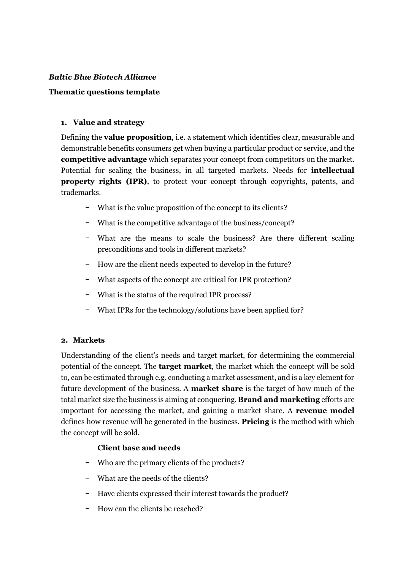#### *Baltic Blue Biotech Alliance*

#### **Thematic questions template**

#### **1. Value and strategy**

Defining the **value proposition**, i.e. a statement which identifies clear, measurable and demonstrable benefits consumers get when buying a particular product or service, and the **competitive advantage** which separates your concept from competitors on the market. Potential for scaling the business, in all targeted markets. Needs for **intellectual property rights (IPR)**, to protect your concept through copyrights, patents, and trademarks.

- − What is the value proposition of the concept to its clients?
- − What is the competitive advantage of the business/concept?
- − What are the means to scale the business? Are there different scaling preconditions and tools in different markets?
- − How are the client needs expected to develop in the future?
- − What aspects of the concept are critical for IPR protection?
- − What is the status of the required IPR process?
- − What IPRs for the technology/solutions have been applied for?

### **2. Markets**

Understanding of the client's needs and target market, for determining the commercial potential of the concept. The **target market**, the market which the concept will be sold to, can be estimated through e.g. conducting a market assessment, and is a key element for future development of the business. A **market share** is the target of how much of the total market size the business is aiming at conquering. **Brand and marketing** efforts are important for accessing the market, and gaining a market share. A **revenue model** defines how revenue will be generated in the business. **Pricing** is the method with which the concept will be sold.

### **Client base and needs**

- − Who are the primary clients of the products?
- − What are the needs of the clients?
- − Have clients expressed their interest towards the product?
- − How can the clients be reached?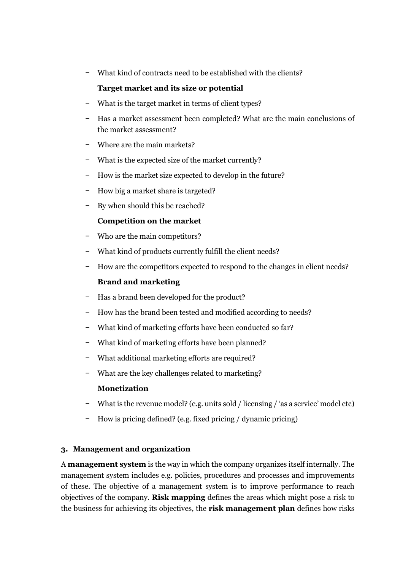− What kind of contracts need to be established with the clients?

# **Target market and its size or potential**

- − What is the target market in terms of client types?
- − Has a market assessment been completed? What are the main conclusions of the market assessment?
- − Where are the main markets?
- − What is the expected size of the market currently?
- − How is the market size expected to develop in the future?
- − How big a market share is targeted?
- − By when should this be reached?

## **Competition on the market**

- − Who are the main competitors?
- − What kind of products currently fulfill the client needs?
- − How are the competitors expected to respond to the changes in client needs?

### **Brand and marketing**

- − Has a brand been developed for the product?
- How has the brand been tested and modified according to needs?
- − What kind of marketing efforts have been conducted so far?
- − What kind of marketing efforts have been planned?
- − What additional marketing efforts are required?
- − What are the key challenges related to marketing?

# **Monetization**

- − What is the revenue model? (e.g. units sold / licensing / 'as a service' model etc)
- − How is pricing defined? (e.g. fixed pricing / dynamic pricing)

### **3. Management and organization**

A **management system** is the way in which the company organizes itself internally. The management system includes e.g. policies, procedures and processes and improvements of these. The objective of a management system is to improve performance to reach objectives of the company. **Risk mapping** defines the areas which might pose a risk to the business for achieving its objectives, the **risk management plan** defines how risks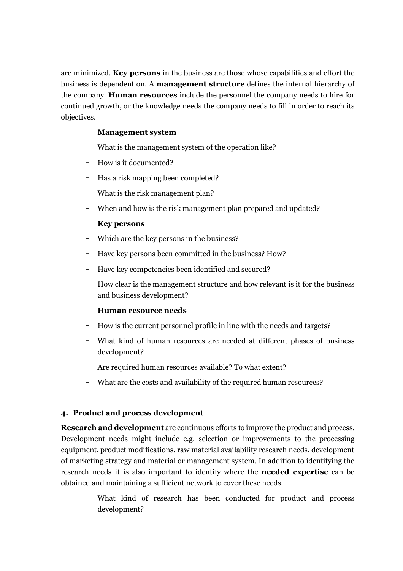are minimized. **Key persons** in the business are those whose capabilities and effort the business is dependent on. A **management structure** defines the internal hierarchy of the company. **Human resources** include the personnel the company needs to hire for continued growth, or the knowledge needs the company needs to fill in order to reach its objectives.

#### **Management system**

- − What is the management system of the operation like?
- − How is it documented?
- − Has a risk mapping been completed?
- − What is the risk management plan?
- − When and how is the risk management plan prepared and updated?

### **Key persons**

- − Which are the key persons in the business?
- − Have key persons been committed in the business? How?
- − Have key competencies been identified and secured?
- − How clear is the management structure and how relevant is it for the business and business development?

### **Human resource needs**

- − How is the current personnel profile in line with the needs and targets?
- − What kind of human resources are needed at different phases of business development?
- − Are required human resources available? To what extent?
- − What are the costs and availability of the required human resources?

### **4. Product and process development**

**Research and development** are continuous efforts to improve the product and process. Development needs might include e.g. selection or improvements to the processing equipment, product modifications, raw material availability research needs, development of marketing strategy and material or management system. In addition to identifying the research needs it is also important to identify where the **needed expertise** can be obtained and maintaining a sufficient network to cover these needs.

− What kind of research has been conducted for product and process development?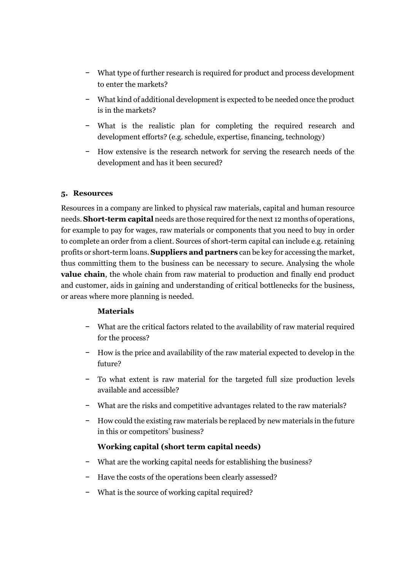- − What type of further research is required for product and process development to enter the markets?
- − What kind of additional development is expected to be needed once the product is in the markets?
- − What is the realistic plan for completing the required research and development efforts? (e.g. schedule, expertise, financing, technology)
- − How extensive is the research network for serving the research needs of the development and has it been secured?

### **5. Resources**

Resources in a company are linked to physical raw materials, capital and human resource needs. **Short-term capital** needs are those required for the next 12 months of operations, for example to pay for wages, raw materials or components that you need to buy in order to complete an order from a client. Sources of short-term capital can include e.g. retaining profits or short-term loans. **Suppliers and partners** can be key for accessing the market, thus committing them to the business can be necessary to secure. Analysing the whole **value chain**, the whole chain from raw material to production and finally end product and customer, aids in gaining and understanding of critical bottlenecks for the business, or areas where more planning is needed.

### **Materials**

- − What are the critical factors related to the availability of raw material required for the process?
- − How is the price and availability of the raw material expected to develop in the future?
- − To what extent is raw material for the targeted full size production levels available and accessible?
- − What are the risks and competitive advantages related to the raw materials?
- − How could the existing raw materials be replaced by new materials in the future in this or competitors' business?

# **Working capital (short term capital needs)**

- − What are the working capital needs for establishing the business?
- − Have the costs of the operations been clearly assessed?
- − What is the source of working capital required?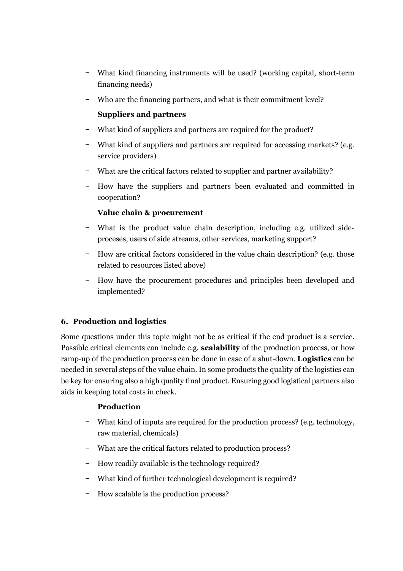- − What kind financing instruments will be used? (working capital, short-term financing needs)
- − Who are the financing partners, and what is their commitment level?

## **Suppliers and partners**

- − What kind of suppliers and partners are required for the product?
- − What kind of suppliers and partners are required for accessing markets? (e.g. service providers)
- − What are the critical factors related to supplier and partner availability?
- − How have the suppliers and partners been evaluated and committed in cooperation?

## **Value chain & procurement**

- − What is the product value chain description, including e.g. utilized sideproceses, users of side streams, other services, marketing support?
- − How are critical factors considered in the value chain description? (e.g. those related to resources listed above)
- − How have the procurement procedures and principles been developed and implemented?

# **6. Production and logistics**

Some questions under this topic might not be as critical if the end product is a service. Possible critical elements can include e.g. **scalability** of the production process, or how ramp-up of the production process can be done in case of a shut-down. **Logistics** can be needed in several steps of the value chain. In some products the quality of the logistics can be key for ensuring also a high quality final product. Ensuring good logistical partners also aids in keeping total costs in check.

### **Production**

- − What kind of inputs are required for the production process? (e.g. technology, raw material, chemicals)
- − What are the critical factors related to production process?
- − How readily available is the technology required?
- − What kind of further technological development is required?
- − How scalable is the production process?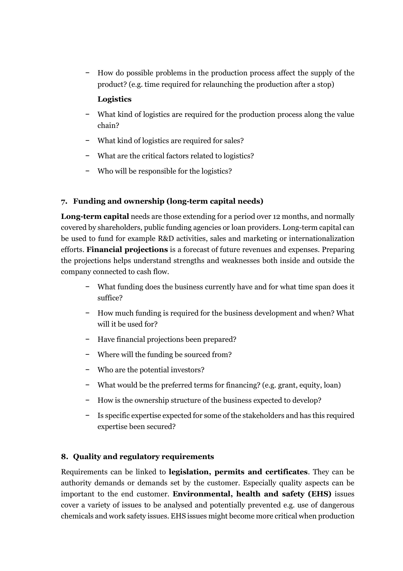− How do possible problems in the production process affect the supply of the product? (e.g. time required for relaunching the production after a stop)

### **Logistics**

- − What kind of logistics are required for the production process along the value chain?
- − What kind of logistics are required for sales?
- − What are the critical factors related to logistics?
- − Who will be responsible for the logistics?

## **7. Funding and ownership (long-term capital needs)**

**Long-term capital** needs are those extending for a period over 12 months, and normally covered by shareholders, public funding agencies or loan providers. Long-term capital can be used to fund for example R&D activities, sales and marketing or internationalization efforts. **Financial projections** is a forecast of future revenues and expenses. Preparing the projections helps understand strengths and weaknesses both inside and outside the company connected to cash flow.

- − What funding does the business currently have and for what time span does it suffice?
- − How much funding is required for the business development and when? What will it be used for?
- − Have financial projections been prepared?
- − Where will the funding be sourced from?
- − Who are the potential investors?
- − What would be the preferred terms for financing? (e.g. grant, equity, loan)
- − How is the ownership structure of the business expected to develop?
- − Is specific expertise expected for some of the stakeholders and has this required expertise been secured?

### **8. Quality and regulatory requirements**

Requirements can be linked to **legislation, permits and certificates**. They can be authority demands or demands set by the customer. Especially quality aspects can be important to the end customer. **Environmental, health and safety (EHS)** issues cover a variety of issues to be analysed and potentially prevented e.g. use of dangerous chemicals and work safety issues. EHS issues might become more critical when production